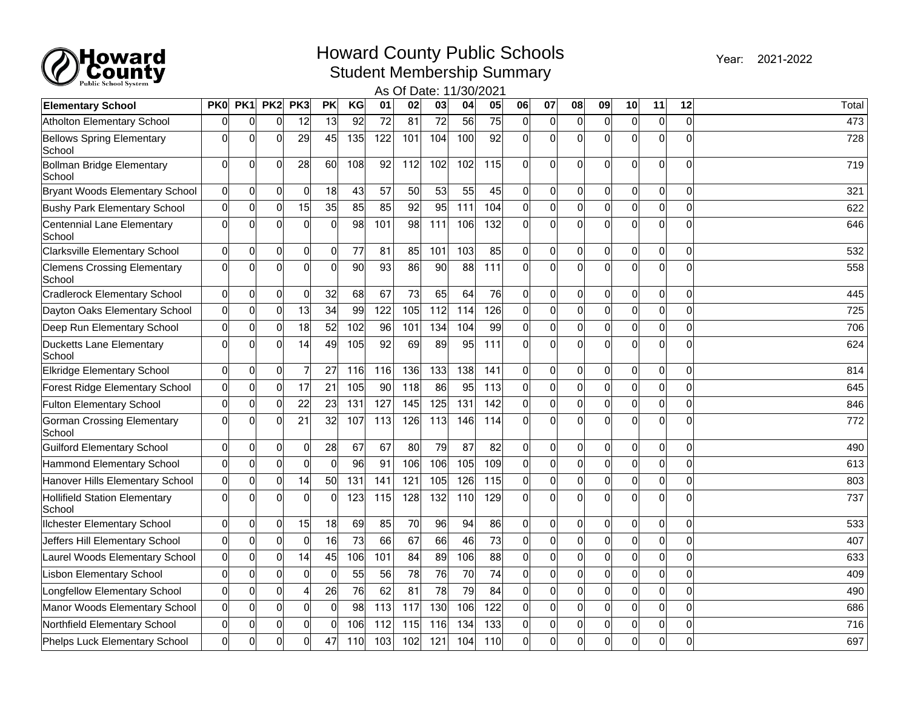

## Howard County Public Schools

Year: 2021-2022

Student Membership Summary

| 02 <br>PK1<br>PK2<br>PK <sub>3</sub><br>PK<br>KG<br>01<br>03<br> 04 <br>05<br>07<br>08<br>11<br>12<br><b>PK0</b><br>06<br> 09 <br>10<br>Total<br><b>Elementary School</b><br>56<br>75<br>$\overline{72}$<br>$\overline{81}$<br>$\overline{72}$<br>$\overline{0}$<br> 0 <br>0<br> 0 <br>Atholton Elementary School<br>0<br>12<br>13<br>92<br>$\Omega$<br>$\overline{0}$<br>0<br>473<br>$\mathbf{0}$<br>0<br> 0 <br>$\Omega$<br>45<br>122<br>101<br>100<br>92<br>Ωl<br><b>Bellows Spring Elementary</b><br>$\mathbf{0}$<br>29<br>135<br>104<br>Ωl<br>$\Omega$<br>$\Omega$<br>$\Omega$<br>728<br>$\mathbf 0$<br>$\mathbf 0$<br>School<br> 0 <br>$\mathbf 0$<br>$\mathbf 0$<br>92<br>112<br>102<br>115<br>$\overline{0}$<br> 0 <br> 0 <br>$\mathbf 0$<br>Bollman Bridge Elementary<br>28<br>60<br>108<br>102<br>Ωl<br>$\mathbf{0}$<br>$\mathbf 0$<br>719<br>School<br>$\overline{0}$<br>55<br>45<br>$\Omega$<br>0<br>0<br>18<br>43<br>57<br>50<br>53<br>$\Omega$<br>$\mathbf{0}$<br>$\mathbf{0}$<br>$\Omega$<br>0<br> 0 <br>0<br><b>Bryant Woods Elementary School</b><br>321<br>$\mathbf 0$<br> 0 <br> 0 <br>0<br>15<br>35<br>85<br>85<br>92<br>95<br>111<br>104<br>Ωl<br> 0 <br><b>Bushy Park Elementary School</b><br>$\mathbf{0}$<br>$\Omega$<br>$\mathbf 0$<br>$\mathbf 0$<br>622<br>$\mathbf 0$<br>0<br>$\overline{0}$<br>98<br>101<br>98<br>111<br>106<br>132<br>$\Omega$<br> 0 <br>$\Omega$<br>Centennial Lane Elementary<br>$\mathbf 0$<br>0<br>Ωl<br>$\Omega$<br>$\Omega$<br>$\Omega$<br>646<br>School<br>$\pmb{0}$<br> 0 <br>77<br>81<br>85<br>103<br>85<br> 0 <br> 0 <br><b>Clarksville Elementary School</b><br> 0 <br>0<br>$\overline{0}$<br>101<br>$\Omega$<br>$\Omega$<br>$\Omega$<br>0<br>0<br>532<br>$\mathbf 0$<br>$\overline{0}$<br>$\Omega$<br>$\Omega$<br>$\mathbf 0$<br>$\Omega$<br>$\overline{0}$<br>90<br>93<br>86<br>88<br>111<br>Ωl<br>$\Omega$<br>90<br>$\Omega$<br>$\Omega$<br>$\Omega$<br><b>Clemens Crossing Elementary</b><br>558<br>School<br> 0 <br>$\mathbf 0$<br>32<br>68<br>67<br>73<br>65<br>64<br>76<br>$\mathbf 0$<br> 0 <br><b>Cradlerock Elementary School</b><br>$\mathbf{0}$<br>$\Omega$<br>$\Omega$<br>$\mathbf{0}$<br>$\mathbf 0$<br>$\mathbf 0$<br>445<br>$\mathbf{0}$<br>$\mathbf 0$<br>$\mathbf 0$<br>34<br>122<br>112<br>114<br>126<br> 0 <br> 0 <br> 0 <br>13<br>99<br>105<br>$\Omega$<br>$\Omega$<br>$\Omega$<br>0<br>$\mathbf 0$<br>725<br>Dayton Oaks Elementary School<br>$\mathbf 0$<br>52<br>$\pmb{0}$<br>102<br>96<br>101<br>104<br>99<br>0<br> 0 <br>Deep Run Elementary School<br>0<br>18<br>134<br>0<br>0<br>0<br>0<br>0<br>706<br>$\overline{0}$<br>49<br>92<br>$\Omega$<br>$\Omega$<br>$\Omega$<br>$\Omega$<br>14<br>105<br>69<br>95<br>111<br>n١<br>$\Omega$<br>$\Omega$<br>89<br>$\mathbf{0}$<br>$\Omega$<br>Ducketts Lane Elementary<br>624<br>School<br>Elkridge Elementary School<br> 0 <br>$\mathbf 0$<br>0<br>7<br>27<br>116<br>136<br>138<br>141<br>$\Omega$<br>0<br> 0 <br>116<br>133<br>$\Omega$<br>0<br>0<br>$\Omega$<br>814<br>$\mathbf 0$<br>17<br>21<br>95<br>113<br> 0 <br> 0 <br> 0 <br>$\mathbf 0$<br>105<br>90<br>118<br>86<br>$\Omega$<br>$\mathbf 0$<br>$\overline{0}$<br><b>Forest Ridge Elementary School</b><br>$\mathbf 0$<br>$\mathbf 0$<br>645<br>$\mathbf 0$<br>23<br>127<br>145<br>125<br>131<br>142<br>$\mathbf 0$<br> 0 <br><b>Fulton Elementary School</b><br>$\Omega$<br>0<br>22<br>131<br>$\Omega$<br>$\mathbf{0}$<br>$\mathbf{0}$<br>$\mathbf 0$<br>846<br>$\mathbf 0$<br>$\mathbf 0$<br>0<br>$\mathbf 0$<br>$\mathbf{0}$<br>21<br>32<br>107<br>113<br>126<br>113<br>146<br>0<br>114<br>U<br>$\Omega$<br>$\Omega$<br>$\mathbf 0$<br>$\Omega$<br><b>Gorman Crossing Elementary</b><br>772<br>School<br> 0 <br>$\mathbf 0$<br>$\mathbf 0$<br>28<br>67<br>67<br>80<br>79<br>87<br>82<br>$\overline{0}$<br> 0 <br> 0 <br><b>Guilford Elementary School</b><br>0<br>$\Omega$<br>$\mathbf{0}$<br>0<br>$\mathbf 0$<br>490<br>$\mathbf 0$<br>91<br>105<br>109<br> 0 <br> 0 <br> 0 <br>$\pmb{0}$<br>$\overline{0}$<br>96<br>106<br>106<br>$\Omega$<br>$\Omega$<br>0<br><b>Hammond Elementary School</b><br>0<br>0<br>0<br>613<br>$\mathbf 0$<br>50<br>126<br>$\overline{0}$<br> 0 <br>Hanover Hills Elementary School<br> 0 <br>$\mathbf 0$<br>14<br>131<br>141<br>121<br>105<br>115<br>$\overline{0}$<br>$\Omega$<br>$\Omega$<br>$\mathbf{0}$<br>$\mathbf 0$<br>803<br>$\mathbf 0$<br>0<br>129<br> 0 <br> 0 <br>737<br>$\Omega$<br>$\mathbf{0}$<br>$\overline{0}$<br>123<br>115<br>128<br>132<br>110<br>Ωl<br>$\Omega$<br><b>Hollifield Station Elementary</b><br>$\Omega$<br>$\mathbf{0}$<br>$\mathbf 0$<br>School<br> 0 <br>$\mathbf 0$<br>18<br>85<br>70<br>94<br>$\mathbf 0$<br>0<br>15<br>69<br>96<br>86<br>$\mathbf{0}$<br> 0 <br>533<br><b>Ilchester Elementary School</b><br>$\Omega$<br>0<br>0<br>$\mathbf 0$<br>$\mathbf 0$<br>66<br>73<br> 0 <br> 0 <br>$\mathbf 0$<br>16<br>73<br>67<br>66<br>46<br>$\overline{0}$<br>$\mathbf 0$<br>$\mathbf 0$<br>Jeffers Hill Elementary School<br>$\mathbf{0}$<br>$\mathbf{0}$<br>0<br>407<br>0<br>$\mathbf 0$<br>45<br>106<br>88<br>$\mathbf 0$<br> 0 <br> 0 <br>0<br>14<br>106<br>101<br>84<br>$\mathbf 0$<br>Laurel Woods Elementary School<br>89<br>0<br>$\mathbf{0}$<br>$\mathbf{0}$<br>0<br>633<br>$\mathbf 0$<br>74<br> 0 <br> 0 <br> 0 <br>$\overline{0}$<br>$\overline{0}$<br>$\mathbf 0$<br>55<br>56<br>78<br>76<br>70<br>$\overline{0}$<br><b>Lisbon Elementary School</b><br>n١<br>$\Omega$<br>$\mathbf{0}$<br>$\mathbf 0$<br>409<br>$\mathbf 0$<br> 0 <br>76<br>62<br>81<br>78<br>79<br>84<br>$\overline{0}$<br>$\mathbf 0$<br> 0 <br>Longfellow Elementary School<br>$\mathbf{0}$<br>4<br>26<br>Ωl<br>$\mathbf{0}$<br>$\mathbf 0$<br>$\mathbf 0$<br>490<br>$\mathbf 0$<br> 0 <br>$\mathbf 0$<br>$\overline{0}$<br>$\overline{0}$<br>98<br>113<br>130<br>106<br>122<br> 0 <br> 0 <br>117<br>Ωl<br>$\mathbf{0}$<br>$\mathbf{0}$<br>$\Omega$<br>Manor Woods Elementary School<br>$\mathbf 0$<br>686 | Public School System<br>As Of Date: 11/30/2021 |  |  |  |  |  |  |  |  |  |  |  |  |  |  |  |  |
|-----------------------------------------------------------------------------------------------------------------------------------------------------------------------------------------------------------------------------------------------------------------------------------------------------------------------------------------------------------------------------------------------------------------------------------------------------------------------------------------------------------------------------------------------------------------------------------------------------------------------------------------------------------------------------------------------------------------------------------------------------------------------------------------------------------------------------------------------------------------------------------------------------------------------------------------------------------------------------------------------------------------------------------------------------------------------------------------------------------------------------------------------------------------------------------------------------------------------------------------------------------------------------------------------------------------------------------------------------------------------------------------------------------------------------------------------------------------------------------------------------------------------------------------------------------------------------------------------------------------------------------------------------------------------------------------------------------------------------------------------------------------------------------------------------------------------------------------------------------------------------------------------------------------------------------------------------------------------------------------------------------------------------------------------------------------------------------------------------------------------------------------------------------------------------------------------------------------------------------------------------------------------------------------------------------------------------------------------------------------------------------------------------------------------------------------------------------------------------------------------------------------------------------------------------------------------------------------------------------------------------------------------------------------------------------------------------------------------------------------------------------------------------------------------------------------------------------------------------------------------------------------------------------------------------------------------------------------------------------------------------------------------------------------------------------------------------------------------------------------------------------------------------------------------------------------------------------------------------------------------------------------------------------------------------------------------------------------------------------------------------------------------------------------------------------------------------------------------------------------------------------------------------------------------------------------------------------------------------------------------------------------------------------------------------------------------------------------------------------------------------------------------------------------------------------------------------------------------------------------------------------------------------------------------------------------------------------------------------------------------------------------------------------------------------------------------------------------------------------------------------------------------------------------------------------------------------------------------------------------------------------------------------------------------------------------------------------------------------------------------------------------------------------------------------------------------------------------------------------------------------------------------------------------------------------------------------------------------------------------------------------------------------------------------------------------------------------------------------------------------------------------------------------------------------------------------------------------------------------------------------------------------------------------------------------------------------------------------------------------------------------------------------------------------------------------------------------------------------------------------------------------------------------------------------------------------------------------------------------------------------------------------------------------------------------------------------------------------------------------------------------------------------------------------------------------------------------------------------------------------------------------------------------------------------------------------------------------------------------------------------------------------------------------------------------------------------------------------------------------------------------------------------------------------------------------------------------------------------------------------------------------------------------------------------------------------------|------------------------------------------------|--|--|--|--|--|--|--|--|--|--|--|--|--|--|--|--|
|                                                                                                                                                                                                                                                                                                                                                                                                                                                                                                                                                                                                                                                                                                                                                                                                                                                                                                                                                                                                                                                                                                                                                                                                                                                                                                                                                                                                                                                                                                                                                                                                                                                                                                                                                                                                                                                                                                                                                                                                                                                                                                                                                                                                                                                                                                                                                                                                                                                                                                                                                                                                                                                                                                                                                                                                                                                                                                                                                                                                                                                                                                                                                                                                                                                                                                                                                                                                                                                                                                                                                                                                                                                                                                                                                                                                                                                                                                                                                                                                                                                                                                                                                                                                                                                                                                                                                                                                                                                                                                                                                                                                                                                                                                                                                                                                                                                                                                                                                                                                                                                                                                                                                                                                                                                                                                                                                                                                                                                                                                                                                                                                                                                                                                                                                                                                                                                                                                                                                     |                                                |  |  |  |  |  |  |  |  |  |  |  |  |  |  |  |  |
|                                                                                                                                                                                                                                                                                                                                                                                                                                                                                                                                                                                                                                                                                                                                                                                                                                                                                                                                                                                                                                                                                                                                                                                                                                                                                                                                                                                                                                                                                                                                                                                                                                                                                                                                                                                                                                                                                                                                                                                                                                                                                                                                                                                                                                                                                                                                                                                                                                                                                                                                                                                                                                                                                                                                                                                                                                                                                                                                                                                                                                                                                                                                                                                                                                                                                                                                                                                                                                                                                                                                                                                                                                                                                                                                                                                                                                                                                                                                                                                                                                                                                                                                                                                                                                                                                                                                                                                                                                                                                                                                                                                                                                                                                                                                                                                                                                                                                                                                                                                                                                                                                                                                                                                                                                                                                                                                                                                                                                                                                                                                                                                                                                                                                                                                                                                                                                                                                                                                                     |                                                |  |  |  |  |  |  |  |  |  |  |  |  |  |  |  |  |
|                                                                                                                                                                                                                                                                                                                                                                                                                                                                                                                                                                                                                                                                                                                                                                                                                                                                                                                                                                                                                                                                                                                                                                                                                                                                                                                                                                                                                                                                                                                                                                                                                                                                                                                                                                                                                                                                                                                                                                                                                                                                                                                                                                                                                                                                                                                                                                                                                                                                                                                                                                                                                                                                                                                                                                                                                                                                                                                                                                                                                                                                                                                                                                                                                                                                                                                                                                                                                                                                                                                                                                                                                                                                                                                                                                                                                                                                                                                                                                                                                                                                                                                                                                                                                                                                                                                                                                                                                                                                                                                                                                                                                                                                                                                                                                                                                                                                                                                                                                                                                                                                                                                                                                                                                                                                                                                                                                                                                                                                                                                                                                                                                                                                                                                                                                                                                                                                                                                                                     |                                                |  |  |  |  |  |  |  |  |  |  |  |  |  |  |  |  |
|                                                                                                                                                                                                                                                                                                                                                                                                                                                                                                                                                                                                                                                                                                                                                                                                                                                                                                                                                                                                                                                                                                                                                                                                                                                                                                                                                                                                                                                                                                                                                                                                                                                                                                                                                                                                                                                                                                                                                                                                                                                                                                                                                                                                                                                                                                                                                                                                                                                                                                                                                                                                                                                                                                                                                                                                                                                                                                                                                                                                                                                                                                                                                                                                                                                                                                                                                                                                                                                                                                                                                                                                                                                                                                                                                                                                                                                                                                                                                                                                                                                                                                                                                                                                                                                                                                                                                                                                                                                                                                                                                                                                                                                                                                                                                                                                                                                                                                                                                                                                                                                                                                                                                                                                                                                                                                                                                                                                                                                                                                                                                                                                                                                                                                                                                                                                                                                                                                                                                     |                                                |  |  |  |  |  |  |  |  |  |  |  |  |  |  |  |  |
|                                                                                                                                                                                                                                                                                                                                                                                                                                                                                                                                                                                                                                                                                                                                                                                                                                                                                                                                                                                                                                                                                                                                                                                                                                                                                                                                                                                                                                                                                                                                                                                                                                                                                                                                                                                                                                                                                                                                                                                                                                                                                                                                                                                                                                                                                                                                                                                                                                                                                                                                                                                                                                                                                                                                                                                                                                                                                                                                                                                                                                                                                                                                                                                                                                                                                                                                                                                                                                                                                                                                                                                                                                                                                                                                                                                                                                                                                                                                                                                                                                                                                                                                                                                                                                                                                                                                                                                                                                                                                                                                                                                                                                                                                                                                                                                                                                                                                                                                                                                                                                                                                                                                                                                                                                                                                                                                                                                                                                                                                                                                                                                                                                                                                                                                                                                                                                                                                                                                                     |                                                |  |  |  |  |  |  |  |  |  |  |  |  |  |  |  |  |
|                                                                                                                                                                                                                                                                                                                                                                                                                                                                                                                                                                                                                                                                                                                                                                                                                                                                                                                                                                                                                                                                                                                                                                                                                                                                                                                                                                                                                                                                                                                                                                                                                                                                                                                                                                                                                                                                                                                                                                                                                                                                                                                                                                                                                                                                                                                                                                                                                                                                                                                                                                                                                                                                                                                                                                                                                                                                                                                                                                                                                                                                                                                                                                                                                                                                                                                                                                                                                                                                                                                                                                                                                                                                                                                                                                                                                                                                                                                                                                                                                                                                                                                                                                                                                                                                                                                                                                                                                                                                                                                                                                                                                                                                                                                                                                                                                                                                                                                                                                                                                                                                                                                                                                                                                                                                                                                                                                                                                                                                                                                                                                                                                                                                                                                                                                                                                                                                                                                                                     |                                                |  |  |  |  |  |  |  |  |  |  |  |  |  |  |  |  |
|                                                                                                                                                                                                                                                                                                                                                                                                                                                                                                                                                                                                                                                                                                                                                                                                                                                                                                                                                                                                                                                                                                                                                                                                                                                                                                                                                                                                                                                                                                                                                                                                                                                                                                                                                                                                                                                                                                                                                                                                                                                                                                                                                                                                                                                                                                                                                                                                                                                                                                                                                                                                                                                                                                                                                                                                                                                                                                                                                                                                                                                                                                                                                                                                                                                                                                                                                                                                                                                                                                                                                                                                                                                                                                                                                                                                                                                                                                                                                                                                                                                                                                                                                                                                                                                                                                                                                                                                                                                                                                                                                                                                                                                                                                                                                                                                                                                                                                                                                                                                                                                                                                                                                                                                                                                                                                                                                                                                                                                                                                                                                                                                                                                                                                                                                                                                                                                                                                                                                     |                                                |  |  |  |  |  |  |  |  |  |  |  |  |  |  |  |  |
|                                                                                                                                                                                                                                                                                                                                                                                                                                                                                                                                                                                                                                                                                                                                                                                                                                                                                                                                                                                                                                                                                                                                                                                                                                                                                                                                                                                                                                                                                                                                                                                                                                                                                                                                                                                                                                                                                                                                                                                                                                                                                                                                                                                                                                                                                                                                                                                                                                                                                                                                                                                                                                                                                                                                                                                                                                                                                                                                                                                                                                                                                                                                                                                                                                                                                                                                                                                                                                                                                                                                                                                                                                                                                                                                                                                                                                                                                                                                                                                                                                                                                                                                                                                                                                                                                                                                                                                                                                                                                                                                                                                                                                                                                                                                                                                                                                                                                                                                                                                                                                                                                                                                                                                                                                                                                                                                                                                                                                                                                                                                                                                                                                                                                                                                                                                                                                                                                                                                                     |                                                |  |  |  |  |  |  |  |  |  |  |  |  |  |  |  |  |
|                                                                                                                                                                                                                                                                                                                                                                                                                                                                                                                                                                                                                                                                                                                                                                                                                                                                                                                                                                                                                                                                                                                                                                                                                                                                                                                                                                                                                                                                                                                                                                                                                                                                                                                                                                                                                                                                                                                                                                                                                                                                                                                                                                                                                                                                                                                                                                                                                                                                                                                                                                                                                                                                                                                                                                                                                                                                                                                                                                                                                                                                                                                                                                                                                                                                                                                                                                                                                                                                                                                                                                                                                                                                                                                                                                                                                                                                                                                                                                                                                                                                                                                                                                                                                                                                                                                                                                                                                                                                                                                                                                                                                                                                                                                                                                                                                                                                                                                                                                                                                                                                                                                                                                                                                                                                                                                                                                                                                                                                                                                                                                                                                                                                                                                                                                                                                                                                                                                                                     |                                                |  |  |  |  |  |  |  |  |  |  |  |  |  |  |  |  |
|                                                                                                                                                                                                                                                                                                                                                                                                                                                                                                                                                                                                                                                                                                                                                                                                                                                                                                                                                                                                                                                                                                                                                                                                                                                                                                                                                                                                                                                                                                                                                                                                                                                                                                                                                                                                                                                                                                                                                                                                                                                                                                                                                                                                                                                                                                                                                                                                                                                                                                                                                                                                                                                                                                                                                                                                                                                                                                                                                                                                                                                                                                                                                                                                                                                                                                                                                                                                                                                                                                                                                                                                                                                                                                                                                                                                                                                                                                                                                                                                                                                                                                                                                                                                                                                                                                                                                                                                                                                                                                                                                                                                                                                                                                                                                                                                                                                                                                                                                                                                                                                                                                                                                                                                                                                                                                                                                                                                                                                                                                                                                                                                                                                                                                                                                                                                                                                                                                                                                     |                                                |  |  |  |  |  |  |  |  |  |  |  |  |  |  |  |  |
|                                                                                                                                                                                                                                                                                                                                                                                                                                                                                                                                                                                                                                                                                                                                                                                                                                                                                                                                                                                                                                                                                                                                                                                                                                                                                                                                                                                                                                                                                                                                                                                                                                                                                                                                                                                                                                                                                                                                                                                                                                                                                                                                                                                                                                                                                                                                                                                                                                                                                                                                                                                                                                                                                                                                                                                                                                                                                                                                                                                                                                                                                                                                                                                                                                                                                                                                                                                                                                                                                                                                                                                                                                                                                                                                                                                                                                                                                                                                                                                                                                                                                                                                                                                                                                                                                                                                                                                                                                                                                                                                                                                                                                                                                                                                                                                                                                                                                                                                                                                                                                                                                                                                                                                                                                                                                                                                                                                                                                                                                                                                                                                                                                                                                                                                                                                                                                                                                                                                                     |                                                |  |  |  |  |  |  |  |  |  |  |  |  |  |  |  |  |
|                                                                                                                                                                                                                                                                                                                                                                                                                                                                                                                                                                                                                                                                                                                                                                                                                                                                                                                                                                                                                                                                                                                                                                                                                                                                                                                                                                                                                                                                                                                                                                                                                                                                                                                                                                                                                                                                                                                                                                                                                                                                                                                                                                                                                                                                                                                                                                                                                                                                                                                                                                                                                                                                                                                                                                                                                                                                                                                                                                                                                                                                                                                                                                                                                                                                                                                                                                                                                                                                                                                                                                                                                                                                                                                                                                                                                                                                                                                                                                                                                                                                                                                                                                                                                                                                                                                                                                                                                                                                                                                                                                                                                                                                                                                                                                                                                                                                                                                                                                                                                                                                                                                                                                                                                                                                                                                                                                                                                                                                                                                                                                                                                                                                                                                                                                                                                                                                                                                                                     |                                                |  |  |  |  |  |  |  |  |  |  |  |  |  |  |  |  |
|                                                                                                                                                                                                                                                                                                                                                                                                                                                                                                                                                                                                                                                                                                                                                                                                                                                                                                                                                                                                                                                                                                                                                                                                                                                                                                                                                                                                                                                                                                                                                                                                                                                                                                                                                                                                                                                                                                                                                                                                                                                                                                                                                                                                                                                                                                                                                                                                                                                                                                                                                                                                                                                                                                                                                                                                                                                                                                                                                                                                                                                                                                                                                                                                                                                                                                                                                                                                                                                                                                                                                                                                                                                                                                                                                                                                                                                                                                                                                                                                                                                                                                                                                                                                                                                                                                                                                                                                                                                                                                                                                                                                                                                                                                                                                                                                                                                                                                                                                                                                                                                                                                                                                                                                                                                                                                                                                                                                                                                                                                                                                                                                                                                                                                                                                                                                                                                                                                                                                     |                                                |  |  |  |  |  |  |  |  |  |  |  |  |  |  |  |  |
|                                                                                                                                                                                                                                                                                                                                                                                                                                                                                                                                                                                                                                                                                                                                                                                                                                                                                                                                                                                                                                                                                                                                                                                                                                                                                                                                                                                                                                                                                                                                                                                                                                                                                                                                                                                                                                                                                                                                                                                                                                                                                                                                                                                                                                                                                                                                                                                                                                                                                                                                                                                                                                                                                                                                                                                                                                                                                                                                                                                                                                                                                                                                                                                                                                                                                                                                                                                                                                                                                                                                                                                                                                                                                                                                                                                                                                                                                                                                                                                                                                                                                                                                                                                                                                                                                                                                                                                                                                                                                                                                                                                                                                                                                                                                                                                                                                                                                                                                                                                                                                                                                                                                                                                                                                                                                                                                                                                                                                                                                                                                                                                                                                                                                                                                                                                                                                                                                                                                                     |                                                |  |  |  |  |  |  |  |  |  |  |  |  |  |  |  |  |
|                                                                                                                                                                                                                                                                                                                                                                                                                                                                                                                                                                                                                                                                                                                                                                                                                                                                                                                                                                                                                                                                                                                                                                                                                                                                                                                                                                                                                                                                                                                                                                                                                                                                                                                                                                                                                                                                                                                                                                                                                                                                                                                                                                                                                                                                                                                                                                                                                                                                                                                                                                                                                                                                                                                                                                                                                                                                                                                                                                                                                                                                                                                                                                                                                                                                                                                                                                                                                                                                                                                                                                                                                                                                                                                                                                                                                                                                                                                                                                                                                                                                                                                                                                                                                                                                                                                                                                                                                                                                                                                                                                                                                                                                                                                                                                                                                                                                                                                                                                                                                                                                                                                                                                                                                                                                                                                                                                                                                                                                                                                                                                                                                                                                                                                                                                                                                                                                                                                                                     |                                                |  |  |  |  |  |  |  |  |  |  |  |  |  |  |  |  |
|                                                                                                                                                                                                                                                                                                                                                                                                                                                                                                                                                                                                                                                                                                                                                                                                                                                                                                                                                                                                                                                                                                                                                                                                                                                                                                                                                                                                                                                                                                                                                                                                                                                                                                                                                                                                                                                                                                                                                                                                                                                                                                                                                                                                                                                                                                                                                                                                                                                                                                                                                                                                                                                                                                                                                                                                                                                                                                                                                                                                                                                                                                                                                                                                                                                                                                                                                                                                                                                                                                                                                                                                                                                                                                                                                                                                                                                                                                                                                                                                                                                                                                                                                                                                                                                                                                                                                                                                                                                                                                                                                                                                                                                                                                                                                                                                                                                                                                                                                                                                                                                                                                                                                                                                                                                                                                                                                                                                                                                                                                                                                                                                                                                                                                                                                                                                                                                                                                                                                     |                                                |  |  |  |  |  |  |  |  |  |  |  |  |  |  |  |  |
|                                                                                                                                                                                                                                                                                                                                                                                                                                                                                                                                                                                                                                                                                                                                                                                                                                                                                                                                                                                                                                                                                                                                                                                                                                                                                                                                                                                                                                                                                                                                                                                                                                                                                                                                                                                                                                                                                                                                                                                                                                                                                                                                                                                                                                                                                                                                                                                                                                                                                                                                                                                                                                                                                                                                                                                                                                                                                                                                                                                                                                                                                                                                                                                                                                                                                                                                                                                                                                                                                                                                                                                                                                                                                                                                                                                                                                                                                                                                                                                                                                                                                                                                                                                                                                                                                                                                                                                                                                                                                                                                                                                                                                                                                                                                                                                                                                                                                                                                                                                                                                                                                                                                                                                                                                                                                                                                                                                                                                                                                                                                                                                                                                                                                                                                                                                                                                                                                                                                                     |                                                |  |  |  |  |  |  |  |  |  |  |  |  |  |  |  |  |
|                                                                                                                                                                                                                                                                                                                                                                                                                                                                                                                                                                                                                                                                                                                                                                                                                                                                                                                                                                                                                                                                                                                                                                                                                                                                                                                                                                                                                                                                                                                                                                                                                                                                                                                                                                                                                                                                                                                                                                                                                                                                                                                                                                                                                                                                                                                                                                                                                                                                                                                                                                                                                                                                                                                                                                                                                                                                                                                                                                                                                                                                                                                                                                                                                                                                                                                                                                                                                                                                                                                                                                                                                                                                                                                                                                                                                                                                                                                                                                                                                                                                                                                                                                                                                                                                                                                                                                                                                                                                                                                                                                                                                                                                                                                                                                                                                                                                                                                                                                                                                                                                                                                                                                                                                                                                                                                                                                                                                                                                                                                                                                                                                                                                                                                                                                                                                                                                                                                                                     |                                                |  |  |  |  |  |  |  |  |  |  |  |  |  |  |  |  |
|                                                                                                                                                                                                                                                                                                                                                                                                                                                                                                                                                                                                                                                                                                                                                                                                                                                                                                                                                                                                                                                                                                                                                                                                                                                                                                                                                                                                                                                                                                                                                                                                                                                                                                                                                                                                                                                                                                                                                                                                                                                                                                                                                                                                                                                                                                                                                                                                                                                                                                                                                                                                                                                                                                                                                                                                                                                                                                                                                                                                                                                                                                                                                                                                                                                                                                                                                                                                                                                                                                                                                                                                                                                                                                                                                                                                                                                                                                                                                                                                                                                                                                                                                                                                                                                                                                                                                                                                                                                                                                                                                                                                                                                                                                                                                                                                                                                                                                                                                                                                                                                                                                                                                                                                                                                                                                                                                                                                                                                                                                                                                                                                                                                                                                                                                                                                                                                                                                                                                     |                                                |  |  |  |  |  |  |  |  |  |  |  |  |  |  |  |  |
|                                                                                                                                                                                                                                                                                                                                                                                                                                                                                                                                                                                                                                                                                                                                                                                                                                                                                                                                                                                                                                                                                                                                                                                                                                                                                                                                                                                                                                                                                                                                                                                                                                                                                                                                                                                                                                                                                                                                                                                                                                                                                                                                                                                                                                                                                                                                                                                                                                                                                                                                                                                                                                                                                                                                                                                                                                                                                                                                                                                                                                                                                                                                                                                                                                                                                                                                                                                                                                                                                                                                                                                                                                                                                                                                                                                                                                                                                                                                                                                                                                                                                                                                                                                                                                                                                                                                                                                                                                                                                                                                                                                                                                                                                                                                                                                                                                                                                                                                                                                                                                                                                                                                                                                                                                                                                                                                                                                                                                                                                                                                                                                                                                                                                                                                                                                                                                                                                                                                                     |                                                |  |  |  |  |  |  |  |  |  |  |  |  |  |  |  |  |
|                                                                                                                                                                                                                                                                                                                                                                                                                                                                                                                                                                                                                                                                                                                                                                                                                                                                                                                                                                                                                                                                                                                                                                                                                                                                                                                                                                                                                                                                                                                                                                                                                                                                                                                                                                                                                                                                                                                                                                                                                                                                                                                                                                                                                                                                                                                                                                                                                                                                                                                                                                                                                                                                                                                                                                                                                                                                                                                                                                                                                                                                                                                                                                                                                                                                                                                                                                                                                                                                                                                                                                                                                                                                                                                                                                                                                                                                                                                                                                                                                                                                                                                                                                                                                                                                                                                                                                                                                                                                                                                                                                                                                                                                                                                                                                                                                                                                                                                                                                                                                                                                                                                                                                                                                                                                                                                                                                                                                                                                                                                                                                                                                                                                                                                                                                                                                                                                                                                                                     |                                                |  |  |  |  |  |  |  |  |  |  |  |  |  |  |  |  |
|                                                                                                                                                                                                                                                                                                                                                                                                                                                                                                                                                                                                                                                                                                                                                                                                                                                                                                                                                                                                                                                                                                                                                                                                                                                                                                                                                                                                                                                                                                                                                                                                                                                                                                                                                                                                                                                                                                                                                                                                                                                                                                                                                                                                                                                                                                                                                                                                                                                                                                                                                                                                                                                                                                                                                                                                                                                                                                                                                                                                                                                                                                                                                                                                                                                                                                                                                                                                                                                                                                                                                                                                                                                                                                                                                                                                                                                                                                                                                                                                                                                                                                                                                                                                                                                                                                                                                                                                                                                                                                                                                                                                                                                                                                                                                                                                                                                                                                                                                                                                                                                                                                                                                                                                                                                                                                                                                                                                                                                                                                                                                                                                                                                                                                                                                                                                                                                                                                                                                     |                                                |  |  |  |  |  |  |  |  |  |  |  |  |  |  |  |  |
|                                                                                                                                                                                                                                                                                                                                                                                                                                                                                                                                                                                                                                                                                                                                                                                                                                                                                                                                                                                                                                                                                                                                                                                                                                                                                                                                                                                                                                                                                                                                                                                                                                                                                                                                                                                                                                                                                                                                                                                                                                                                                                                                                                                                                                                                                                                                                                                                                                                                                                                                                                                                                                                                                                                                                                                                                                                                                                                                                                                                                                                                                                                                                                                                                                                                                                                                                                                                                                                                                                                                                                                                                                                                                                                                                                                                                                                                                                                                                                                                                                                                                                                                                                                                                                                                                                                                                                                                                                                                                                                                                                                                                                                                                                                                                                                                                                                                                                                                                                                                                                                                                                                                                                                                                                                                                                                                                                                                                                                                                                                                                                                                                                                                                                                                                                                                                                                                                                                                                     |                                                |  |  |  |  |  |  |  |  |  |  |  |  |  |  |  |  |
|                                                                                                                                                                                                                                                                                                                                                                                                                                                                                                                                                                                                                                                                                                                                                                                                                                                                                                                                                                                                                                                                                                                                                                                                                                                                                                                                                                                                                                                                                                                                                                                                                                                                                                                                                                                                                                                                                                                                                                                                                                                                                                                                                                                                                                                                                                                                                                                                                                                                                                                                                                                                                                                                                                                                                                                                                                                                                                                                                                                                                                                                                                                                                                                                                                                                                                                                                                                                                                                                                                                                                                                                                                                                                                                                                                                                                                                                                                                                                                                                                                                                                                                                                                                                                                                                                                                                                                                                                                                                                                                                                                                                                                                                                                                                                                                                                                                                                                                                                                                                                                                                                                                                                                                                                                                                                                                                                                                                                                                                                                                                                                                                                                                                                                                                                                                                                                                                                                                                                     |                                                |  |  |  |  |  |  |  |  |  |  |  |  |  |  |  |  |
|                                                                                                                                                                                                                                                                                                                                                                                                                                                                                                                                                                                                                                                                                                                                                                                                                                                                                                                                                                                                                                                                                                                                                                                                                                                                                                                                                                                                                                                                                                                                                                                                                                                                                                                                                                                                                                                                                                                                                                                                                                                                                                                                                                                                                                                                                                                                                                                                                                                                                                                                                                                                                                                                                                                                                                                                                                                                                                                                                                                                                                                                                                                                                                                                                                                                                                                                                                                                                                                                                                                                                                                                                                                                                                                                                                                                                                                                                                                                                                                                                                                                                                                                                                                                                                                                                                                                                                                                                                                                                                                                                                                                                                                                                                                                                                                                                                                                                                                                                                                                                                                                                                                                                                                                                                                                                                                                                                                                                                                                                                                                                                                                                                                                                                                                                                                                                                                                                                                                                     |                                                |  |  |  |  |  |  |  |  |  |  |  |  |  |  |  |  |
|                                                                                                                                                                                                                                                                                                                                                                                                                                                                                                                                                                                                                                                                                                                                                                                                                                                                                                                                                                                                                                                                                                                                                                                                                                                                                                                                                                                                                                                                                                                                                                                                                                                                                                                                                                                                                                                                                                                                                                                                                                                                                                                                                                                                                                                                                                                                                                                                                                                                                                                                                                                                                                                                                                                                                                                                                                                                                                                                                                                                                                                                                                                                                                                                                                                                                                                                                                                                                                                                                                                                                                                                                                                                                                                                                                                                                                                                                                                                                                                                                                                                                                                                                                                                                                                                                                                                                                                                                                                                                                                                                                                                                                                                                                                                                                                                                                                                                                                                                                                                                                                                                                                                                                                                                                                                                                                                                                                                                                                                                                                                                                                                                                                                                                                                                                                                                                                                                                                                                     |                                                |  |  |  |  |  |  |  |  |  |  |  |  |  |  |  |  |
|                                                                                                                                                                                                                                                                                                                                                                                                                                                                                                                                                                                                                                                                                                                                                                                                                                                                                                                                                                                                                                                                                                                                                                                                                                                                                                                                                                                                                                                                                                                                                                                                                                                                                                                                                                                                                                                                                                                                                                                                                                                                                                                                                                                                                                                                                                                                                                                                                                                                                                                                                                                                                                                                                                                                                                                                                                                                                                                                                                                                                                                                                                                                                                                                                                                                                                                                                                                                                                                                                                                                                                                                                                                                                                                                                                                                                                                                                                                                                                                                                                                                                                                                                                                                                                                                                                                                                                                                                                                                                                                                                                                                                                                                                                                                                                                                                                                                                                                                                                                                                                                                                                                                                                                                                                                                                                                                                                                                                                                                                                                                                                                                                                                                                                                                                                                                                                                                                                                                                     |                                                |  |  |  |  |  |  |  |  |  |  |  |  |  |  |  |  |
| $\mathbf 0$<br>$\overline{0}$<br> 0 <br> 0 <br> 0 <br>$\overline{0}$<br>106<br>112<br>115<br>116<br>134<br>133<br>$\mathbf{0}$<br> 0 <br> 0 <br>0<br>0<br>0<br>716<br>Northfield Elementary School                                                                                                                                                                                                                                                                                                                                                                                                                                                                                                                                                                                                                                                                                                                                                                                                                                                                                                                                                                                                                                                                                                                                                                                                                                                                                                                                                                                                                                                                                                                                                                                                                                                                                                                                                                                                                                                                                                                                                                                                                                                                                                                                                                                                                                                                                                                                                                                                                                                                                                                                                                                                                                                                                                                                                                                                                                                                                                                                                                                                                                                                                                                                                                                                                                                                                                                                                                                                                                                                                                                                                                                                                                                                                                                                                                                                                                                                                                                                                                                                                                                                                                                                                                                                                                                                                                                                                                                                                                                                                                                                                                                                                                                                                                                                                                                                                                                                                                                                                                                                                                                                                                                                                                                                                                                                                                                                                                                                                                                                                                                                                                                                                                                                                                                                                  |                                                |  |  |  |  |  |  |  |  |  |  |  |  |  |  |  |  |
| $\Omega$<br>$\mathbf 0$<br>$\overline{0}$<br>47<br>$\Omega$<br> 0 <br>$\Omega$<br>110<br>103<br>102<br>121<br>104<br>110<br>n١<br>$\Omega$<br>$\Omega$<br>$\Omega$<br>$\Omega$<br>Phelps Luck Elementary School<br>697                                                                                                                                                                                                                                                                                                                                                                                                                                                                                                                                                                                                                                                                                                                                                                                                                                                                                                                                                                                                                                                                                                                                                                                                                                                                                                                                                                                                                                                                                                                                                                                                                                                                                                                                                                                                                                                                                                                                                                                                                                                                                                                                                                                                                                                                                                                                                                                                                                                                                                                                                                                                                                                                                                                                                                                                                                                                                                                                                                                                                                                                                                                                                                                                                                                                                                                                                                                                                                                                                                                                                                                                                                                                                                                                                                                                                                                                                                                                                                                                                                                                                                                                                                                                                                                                                                                                                                                                                                                                                                                                                                                                                                                                                                                                                                                                                                                                                                                                                                                                                                                                                                                                                                                                                                                                                                                                                                                                                                                                                                                                                                                                                                                                                                                              |                                                |  |  |  |  |  |  |  |  |  |  |  |  |  |  |  |  |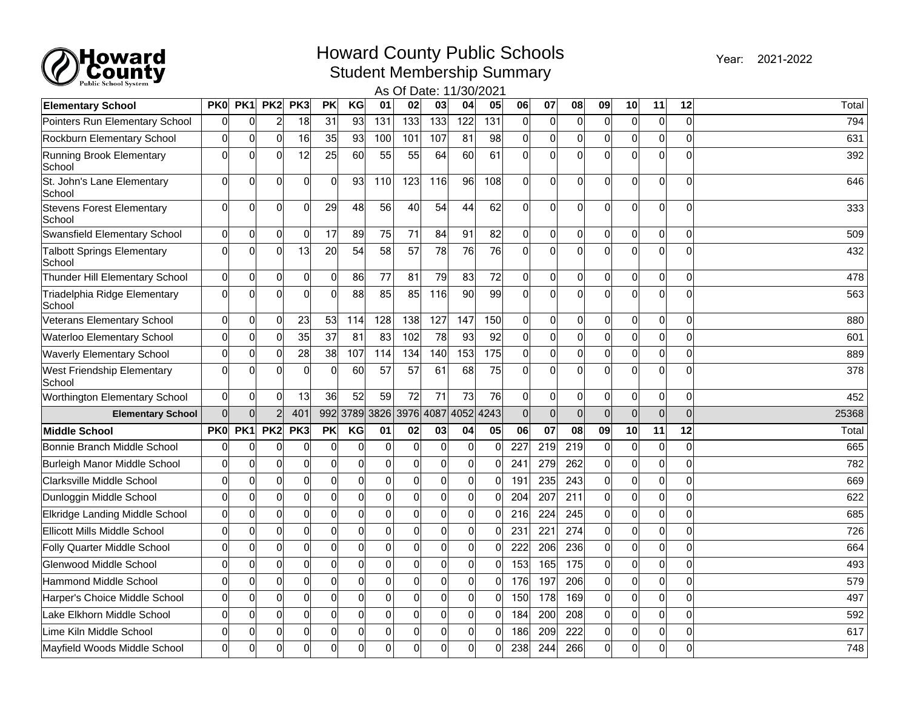

## Howard County Public Schools **2021-2022** Pream 2021-2022

Year: 2021-2022

Student Membership Summary

| <b>Public School System</b><br>As Of Date: 11/30/2021 |                 |                 |                 |                 |                 |                 |                  |                  |                     |                 |                  |                 |                |                |                |                |                |                |       |
|-------------------------------------------------------|-----------------|-----------------|-----------------|-----------------|-----------------|-----------------|------------------|------------------|---------------------|-----------------|------------------|-----------------|----------------|----------------|----------------|----------------|----------------|----------------|-------|
| <b>Elementary School</b>                              | PK <sub>0</sub> | PK <sub>1</sub> | PK <sub>2</sub> | PK3             | <b>PK</b>       | KG              | 01               | 02               | 03                  | 04              | 05               | 06              | 07             | 08             | 09             | 10             | 11             | 12             | Total |
| Pointers Run Elementary School                        | $\Omega$        | 0               | $\overline{c}$  | $\overline{18}$ | $\overline{31}$ | $\overline{93}$ | $\overline{131}$ | $\overline{133}$ | $\overline{133}$    | 122             | $\overline{131}$ | $\Omega$        | 0              | $\overline{0}$ | $\Omega$       | 0              | $\overline{0}$ | $\overline{0}$ | 794   |
| Rockburn Elementary School                            | 0               | $\Omega$        | $\Omega$        | 16              | 35              | 93              | 100              | 101              | 107                 | 81              | 98               | $\Omega$        | $\Omega$       | 0              | $\Omega$       | 0              | $\overline{0}$ | $\mathbf 0$    | 631   |
| Running Brook Elementary<br>School                    | $\overline{0}$  | $\Omega$        | $\mathbf{0}$    | 12              | 25              | 60              | 55               | 55               | 64                  | 60              | 61               | 0l              | $\Omega$       | $\Omega$       | $\Omega$       | 0              | $\overline{0}$ | $\mathbf 0$    | 392   |
| St. John's Lane Elementary<br>School                  | $\Omega$        | $\Omega$        | $\Omega$        | $\mathbf 0$     | $\overline{0}$  | 93              | 110              | 123              | 116                 | 96              | 108              | $\Omega$        | $\Omega$       | $\Omega$       | $\Omega$       | $\Omega$       | $\overline{0}$ | $\Omega$       | 646   |
| <b>Stevens Forest Elementary</b><br>School            | $\Omega$        | $\overline{0}$  | $\mathbf{0}$    | $\mathbf 0$     | 29              | 48              | 56               | 40               | 54                  | 44              | 62               | $\Omega$        | $\Omega$       | 0              | $\overline{0}$ | 0              | $\overline{0}$ | $\mathbf 0$    | 333   |
| Swansfield Elementary School                          | $\overline{0}$  | 0               | $\mathbf 0$     | $\mathbf 0$     | 17              | 89              | 75               | 71               | 84                  | 91              | 82               | 0               | 0              | 0              | $\overline{0}$ | 0              | $\overline{0}$ | $\mathbf 0$    | 509   |
| <b>Talbott Springs Elementary</b><br>School           | $\Omega$        | $\Omega$        | $\mathbf{0}$    | 13              | 20              | 54              | 58               | 57               | 78                  | 76              | 76               | $\Omega$        | $\Omega$       | O              | $\Omega$       | $\Omega$       | $\mathbf 0$    | $\Omega$       | 432   |
| Thunder Hill Elementary School                        | 0               | $\overline{0}$  | $\mathbf 0$     | $\mathbf 0$     | $\mathbf 0$     | 86              | 77               | 81               | 79                  | 83              | 72               | $\Omega$        | 0              | 0              | $\overline{0}$ | $\overline{0}$ | $\overline{0}$ | $\mathbf 0$    | 478   |
| Triadelphia Ridge Elementary<br>School                | $\overline{0}$  | $\overline{0}$  | $\mathbf{0}$    | $\mathbf 0$     | $\mathbf 0$     | 88              | 85               | 85               | 116                 | 90 <sup>°</sup> | 99               | Ωl              | $\Omega$       | 0              | $\Omega$       | 0              | $\overline{0}$ | $\mathbf 0$    | 563   |
| <b>Veterans Elementary School</b>                     | $\overline{0}$  | $\overline{0}$  | $\mathbf 0$     | 23              | 53              | 114             | 128              | 138              | 127                 | 147             | 150              | $\overline{0}$  | 0              | 0              | $\Omega$       | $\Omega$       | $\overline{0}$ | $\mathbf 0$    | 880   |
| <b>Waterloo Elementary School</b>                     | $\Omega$        | $\overline{0}$  | 0               | 35              | 37              | 81              | 83               | 102              | 78                  | 93              | 92               | 0               | $\overline{0}$ | O              | $\overline{0}$ | $\Omega$       | $\overline{0}$ | $\mathbf 0$    | 601   |
| <b>Waverly Elementary School</b>                      | $\Omega$        | $\overline{0}$  | 0               | 28              | 38              | 107             | 114              | 134              | 140                 | 153             | 175              | $\overline{0}$  | $\Omega$       | 0              | $\Omega$       | $\Omega$       | $\overline{0}$ | $\mathbf{0}$   | 889   |
| West Friendship Elementary<br>School                  | $\Omega$        | $\Omega$        | 0               | $\mathbf 0$     | $\mathbf 0$     | 60              | 57               | 57               | 61                  | 68              | 75               | Ωl              | $\Omega$       | O              | $\Omega$       | 0              | $\overline{0}$ | $\mathbf 0$    | 378   |
| Worthington Elementary School                         | 0               | 0               | 0               | 13              | 36              | 52              | 59               | 72               | 71                  | 73              | 76               | $\mathbf 0$     | 0              | 0              | $\overline{0}$ | 0              | $\overline{0}$ | $\mathbf 0$    | 452   |
| <b>Elementary School</b>                              | $\Omega$        | $\overline{0}$  | $\overline{2}$  | 401             | 992             |                 | 3789 3826        |                  | 3976 4087 4052 4243 |                 |                  | $\Omega$        | $\Omega$       | $\Omega$       | $\Omega$       | 0              | $\mathbf 0$    | $\mathbf 0$    | 25368 |
| <b>Middle School</b>                                  | <b>PK0</b>      | PK1             | PK <sub>2</sub> | PK3             | <b>PK</b>       | KG              | 01               | 02               | 03                  | 04              | 05               | 06              | 07             | 08             | 09             | 10             | 11             | 12             | Total |
| Bonnie Branch Middle School                           | 0               | $\Omega$        | $\Omega$        | $\mathbf 0$     | $\Omega$        | 0               | $\mathbf 0$      | $\mathbf 0$      | 0                   | 0               | $\overline{0}$   | 227             | 219            | 219            | $\Omega$       | $\Omega$       | $\overline{0}$ | $\mathbf 0$    | 665   |
| Burleigh Manor Middle School                          | $\Omega$        | $\overline{0}$  | $\mathbf{0}$    | $\mathbf 0$     | $\mathbf 0$     | 0               | $\overline{0}$   | 0                | $\mathbf 0$         | 0               | $\Omega$         | 24 <sup>2</sup> | 279            | 262            | $\overline{0}$ | $\overline{0}$ | $\overline{0}$ | $\mathbf 0$    | 782   |
| Clarksville Middle School                             | $\Omega$        | $\Omega$        | $\Omega$        | $\mathbf 0$     | $\overline{0}$  | $\mathbf 0$     | 0                | 0                | $\mathbf 0$         | 0               | $\overline{0}$   | 19 <sup>2</sup> | 235            | 243            | $\Omega$       | 0              | $\overline{0}$ | $\mathbf 0$    | 669   |
| Dunloggin Middle School                               | $\Omega$        | $\overline{0}$  | $\mathbf{0}$    | $\mathbf 0$     | $\overline{0}$  | $\overline{0}$  | 0                | $\overline{0}$   | $\mathbf 0$         | 0               | $\Omega$         | 204             | 207            | 211            | $\Omega$       | 0              | $\overline{0}$ | $\mathbf 0$    | 622   |
| Elkridge Landing Middle School                        | $\overline{0}$  | $\overline{0}$  | $\mathbf 0$     | $\mathbf 0$     | $\overline{0}$  | 0               | $\mathbf 0$      | $\mathbf 0$      | $\mathbf 0$         | 0               | $\overline{0}$   | 216             | 224            | 245            | $\Omega$       | 0              | $\overline{0}$ | $\mathbf 0$    | 685   |
| Ellicott Mills Middle School                          | $\Omega$        | $\overline{0}$  | $\Omega$        | $\mathbf 0$     | $\overline{0}$  | $\mathbf 0$     | $\mathbf 0$      | $\mathbf 0$      | $\mathbf 0$         | 0               | $\overline{0}$   | $23 -$          | 221            | 274            | $\overline{0}$ | $\Omega$       | $\overline{0}$ | $\mathbf 0$    | 726   |
| Folly Quarter Middle School                           | $\Omega$        | $\overline{0}$  | $\Omega$        | $\mathbf 0$     | $\overline{0}$  | $\mathbf{0}$    | $\mathbf 0$      | 0                | $\overline{0}$      | 0               | $\Omega$         | 222             | 206            | 236            | $\Omega$       | $\Omega$       | $\overline{0}$ | $\Omega$       | 664   |
| Glenwood Middle School                                | $\Omega$        | $\overline{0}$  | $\mathbf 0$     | $\overline{0}$  | $\overline{0}$  | $\mathbf 0$     | $\mathbf 0$      | $\overline{0}$   | $\mathbf 0$         | $\mathsf{O}$    | $\overline{0}$   | 153             | 165            | 175            | $\overline{0}$ | 0              | $\overline{0}$ | $\mathbf 0$    | 493   |
| <b>Hammond Middle School</b>                          | $\Omega$        | $\overline{0}$  | $\mathbf{0}$    | $\mathbf 0$     | $\Omega$        | $\mathbf 0$     | 0                | $\overline{0}$   | 0                   | 0               | $\overline{0}$   | 176             | 197            | 206            | $\Omega$       | $\Omega$       | $\overline{0}$ | $\mathbf 0$    | 579   |
| Harper's Choice Middle School                         | $\Omega$        | $\overline{0}$  | $\Omega$        | $\mathbf{0}$    | $\overline{0}$  | 0               | 0                | 0                | 0                   | 0               | $\Omega$         | 150             | 178            | 169            | $\Omega$       | $\Omega$       | $\overline{0}$ | $\mathbf 0$    | 497   |
| Lake Elkhorn Middle School                            | $\overline{0}$  | $\overline{0}$  | $\mathbf{0}$    | $\mathbf 0$     | $\overline{0}$  | $\mathbf 0$     | $\mathbf 0$      | $\mathbf 0$      | $\mathbf 0$         | 0               | $\overline{0}$   | 184             | 200            | 208            | $\overline{0}$ | 0              | $\overline{0}$ | $\mathbf 0$    | 592   |
| Lime Kiln Middle School                               | $\Omega$        | $\overline{0}$  | $\mathbf 0$     | $\overline{0}$  | $\overline{0}$  | 0               | $\mathbf 0$      | $\mathbf 0$      | $\mathbf 0$         | $\overline{0}$  | $\Omega$         | 186             | 209            | 222            | $\overline{0}$ | $\overline{0}$ | $\mathbf 0$    | $\mathbf 0$    | 617   |
| Mayfield Woods Middle School                          | $\Omega$        | $\Omega$        | $\Omega$        | $\mathbf 0$     | $\Omega$        | $\Omega$        | 0                | $\overline{0}$   | $\Omega$            | 0l              | $\Omega$         | 238             | 244            | 266            | $\Omega$       | $\Omega$       | $\overline{0}$ | ∩              | 748   |